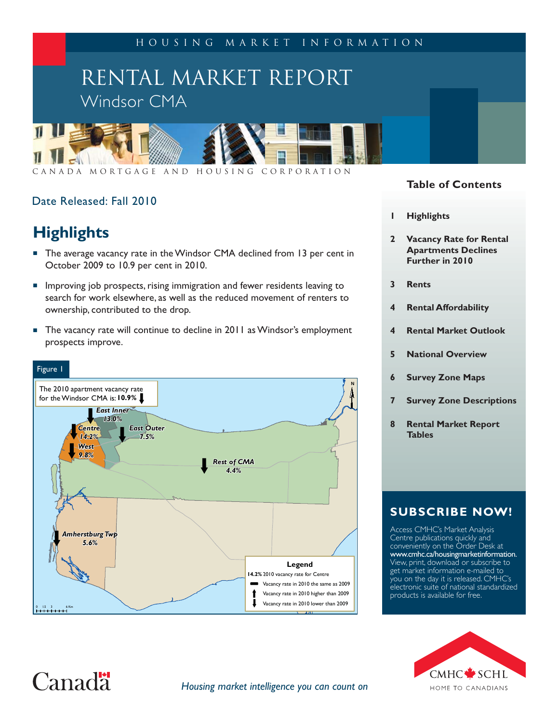#### Housing Market Information

# RENTAL MARKET REPORT Windsor CMA



Canada Mortgage and Housing Corporation

#### Date Released: Fall 2010

# **Highlights**

- The average vacancy rate in the Windsor CMA declined from 13 per cent in October 2009 to 10.9 per cent in 2010.
- **IMPROP** Improving job prospects, rising immigration and fewer residents leaving to search for work elsewhere, as well as the reduced movement of renters to ownership, contributed to the drop.
- The vacancy rate will continue to decline in 2011 as Windsor's employment prospects improve.



#### **Table of Contents**

- **1 Highlights**
- **2 Vacancy Rate for Rental Apartments Declines Further in 2010**
- **3 Rents**
- **4 Rental Affordability**
- **4 Rental Market Outlook**
- **5 National Overview**
- **6 Survey Zone Maps**
- **7 Survey Zone Descriptions**
- **8 Rental Market Report Tables**

## **SUBSCRIBE NOW!**

Access CMHC's Market Analysis Centre publications quickly and conveniently on the Order Desk at www.cmhc.ca/housingmarketinformation. View, print, download or subscribe to get market information e-mailed to you on the day it is released. CMHC's electronic suite of national standardized products is available for free.



# Canad<sub>a</sub>

*Housing market intelligence you can count on*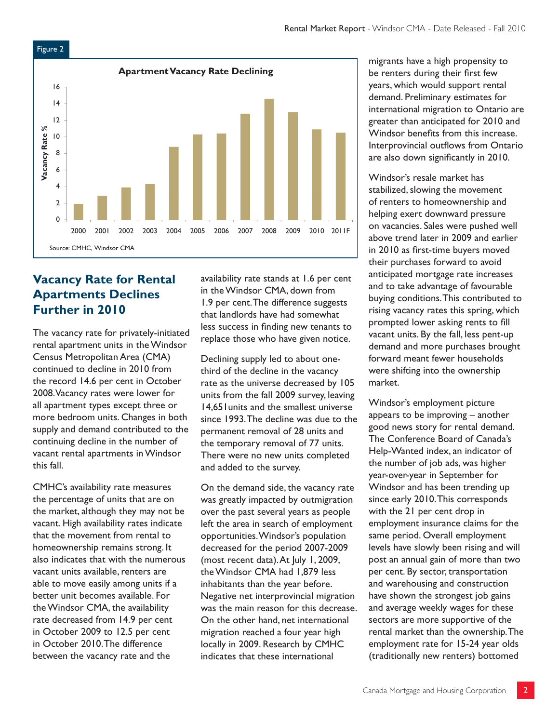

## **Vacancy Rate for Rental Apartments Declines Further in 2010**

The vacancy rate for privately-initiated rental apartment units in the Windsor Census Metropolitan Area (CMA) continued to decline in 2010 from the record 14.6 per cent in October 2008. Vacancy rates were lower for all apartment types except three or more bedroom units. Changes in both supply and demand contributed to the continuing decline in the number of vacant rental apartments in Windsor this fall.

CMHC's availability rate measures the percentage of units that are on the market, although they may not be vacant. High availability rates indicate that the movement from rental to homeownership remains strong. It also indicates that with the numerous vacant units available, renters are able to move easily among units if a better unit becomes available. For the Windsor CMA, the availability rate decreased from 14.9 per cent in October 2009 to 12.5 per cent in October 2010. The difference between the vacancy rate and the

availability rate stands at 1.6 per cent in the Windsor CMA, down from 1.9 per cent. The difference suggests that landlords have had somewhat less success in finding new tenants to replace those who have given notice.

Declining supply led to about onethird of the decline in the vacancy rate as the universe decreased by 105 units from the fall 2009 survey, leaving 14,651units and the smallest universe since 1993. The decline was due to the permanent removal of 28 units and the temporary removal of 77 units. There were no new units completed and added to the survey.

On the demand side, the vacancy rate was greatly impacted by outmigration over the past several years as people left the area in search of employment opportunities. Windsor's population decreased for the period 2007-2009 (most recent data). At July 1, 2009, the Windsor CMA had 1,879 less inhabitants than the year before. Negative net interprovincial migration was the main reason for this decrease. On the other hand, net international migration reached a four year high locally in 2009. Research by CMHC indicates that these international

migrants have a high propensity to be renters during their first few years, which would support rental demand. Preliminary estimates for international migration to Ontario are greater than anticipated for 2010 and Windsor benefits from this increase. Interprovincial outflows from Ontario are also down significantly in 2010.

Windsor's resale market has stabilized, slowing the movement of renters to homeownership and helping exert downward pressure on vacancies. Sales were pushed well above trend later in 2009 and earlier in 2010 as first-time buyers moved their purchases forward to avoid anticipated mortgage rate increases and to take advantage of favourable buying conditions. This contributed to rising vacancy rates this spring, which prompted lower asking rents to fill vacant units. By the fall, less pent-up demand and more purchases brought forward meant fewer households were shifting into the ownership market.

Windsor's employment picture appears to be improving – another good news story for rental demand. The Conference Board of Canada's Help-Wanted index, an indicator of the number of job ads, was higher year-over-year in September for Windsor and has been trending up since early 2010. This corresponds with the 21 per cent drop in employment insurance claims for the same period. Overall employment levels have slowly been rising and will post an annual gain of more than two per cent. By sector, transportation and warehousing and construction have shown the strongest job gains and average weekly wages for these sectors are more supportive of the rental market than the ownership. The employment rate for 15-24 year olds (traditionally new renters) bottomed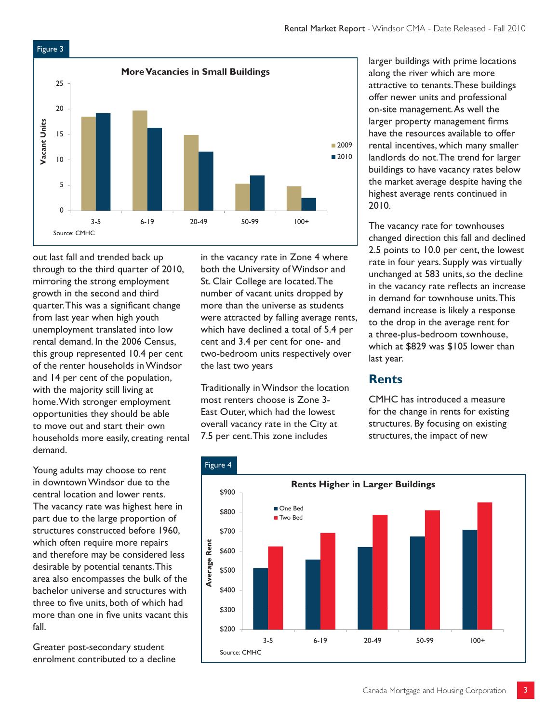

out last fall and trended back up through to the third quarter of 2010, mirroring the strong employment growth in the second and third quarter. This was a significant change from last year when high youth unemployment translated into low rental demand. In the 2006 Census, this group represented 10.4 per cent of the renter households in Windsor and 14 per cent of the population, with the majority still living at home. With stronger employment opportunities they should be able to move out and start their own households more easily, creating rental demand.

Young adults may choose to rent in downtown Windsor due to the central location and lower rents. The vacancy rate was highest here in part due to the large proportion of structures constructed before 1960, which often require more repairs and therefore may be considered less desirable by potential tenants. This area also encompasses the bulk of the bachelor universe and structures with three to five units, both of which had more than one in five units vacant this fall.

Greater post-secondary student enrolment contributed to a decline

in the vacancy rate in Zone 4 where both the University of Windsor and St. Clair College are located. The number of vacant units dropped by more than the universe as students were attracted by falling average rents, which have declined a total of 5.4 per cent and 3.4 per cent for one- and two-bedroom units respectively over the last two years

Traditionally in Windsor the location most renters choose is Zone 3- East Outer, which had the lowest overall vacancy rate in the City at 7.5 per cent. This zone includes

larger buildings with prime locations along the river which are more attractive to tenants. These buildings offer newer units and professional on-site management. As well the larger property management firms have the resources available to offer rental incentives, which many smaller landlords do not. The trend for larger buildings to have vacancy rates below the market average despite having the highest average rents continued in 2010.

The vacancy rate for townhouses changed direction this fall and declined 2.5 points to 10.0 per cent, the lowest rate in four years. Supply was virtually unchanged at 583 units, so the decline in the vacancy rate reflects an increase in demand for townhouse units. This demand increase is likely a response to the drop in the average rent for a three-plus-bedroom townhouse, which at \$829 was \$105 lower than last year.

### **Rents**

CMHC has introduced a measure for the change in rents for existing structures. By focusing on existing structures, the impact of new

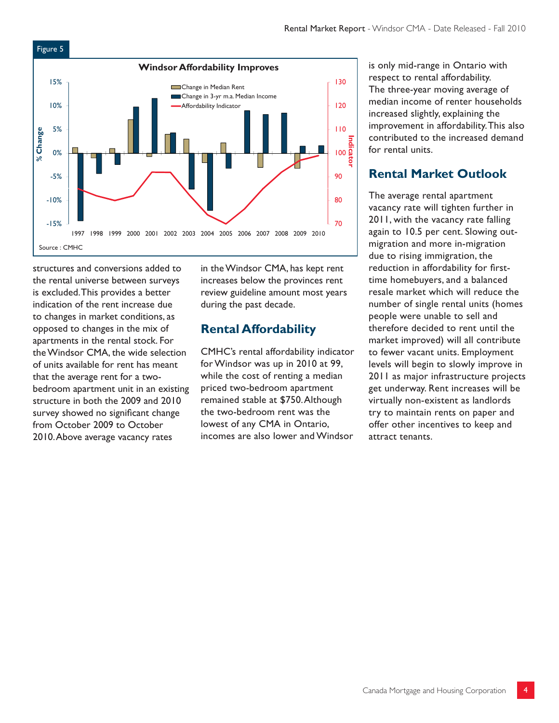

structures and conversions added to the rental universe between surveys is excluded. This provides a better indication of the rent increase due to changes in market conditions, as opposed to changes in the mix of apartments in the rental stock. For the Windsor CMA, the wide selection of units available for rent has meant that the average rent for a twobedroom apartment unit in an existing structure in both the 2009 and 2010 survey showed no significant change from October 2009 to October 2010. Above average vacancy rates

in the Windsor CMA, has kept rent increases below the provinces rent review guideline amount most years during the past decade.

### **Rental Affordability**

CMHC's rental affordability indicator for Windsor was up in 2010 at 99, while the cost of renting a median priced two-bedroom apartment remained stable at \$750. Although the two-bedroom rent was the lowest of any CMA in Ontario, incomes are also lower and Windsor

is only mid-range in Ontario with respect to rental affordability. The three-year moving average of median income of renter households increased slightly, explaining the improvement in affordability. This also contributed to the increased demand for rental units.

#### **Rental Market Outlook**

The average rental apartment vacancy rate will tighten further in 2011, with the vacancy rate falling again to 10.5 per cent. Slowing outmigration and more in-migration due to rising immigration, the reduction in affordability for firsttime homebuyers, and a balanced resale market which will reduce the number of single rental units (homes people were unable to sell and therefore decided to rent until the market improved) will all contribute to fewer vacant units. Employment levels will begin to slowly improve in 2011 as major infrastructure projects get underway. Rent increases will be virtually non-existent as landlords try to maintain rents on paper and offer other incentives to keep and attract tenants.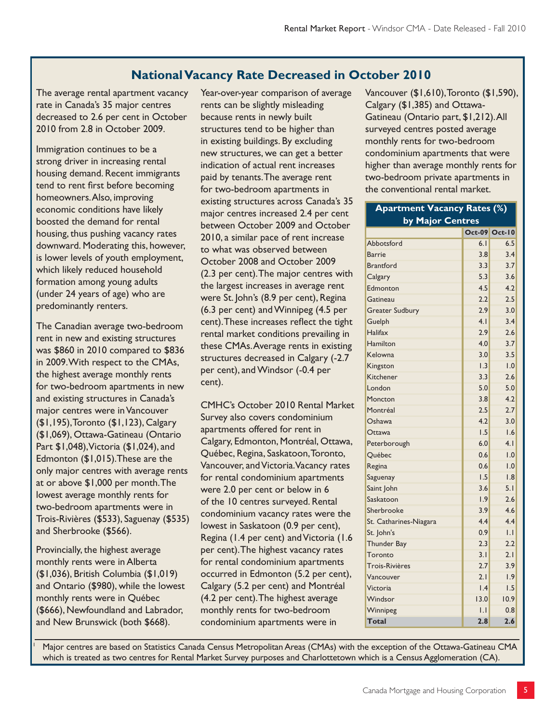## **National Vacancy Rate Decreased in October 2010**

The average rental apartment vacancy rate in Canada's 35 major centres decreased to 2.6 per cent in October 2010 from 2.8 in October 2009.

Immigration continues to be a strong driver in increasing rental housing demand. Recent immigrants tend to rent first before becoming homeowners. Also, improving economic conditions have likely boosted the demand for rental housing, thus pushing vacancy rates downward. Moderating this, however, is lower levels of youth employment, which likely reduced household formation among young adults (under 24 years of age) who are predominantly renters.

The Canadian average two-bedroom rent in new and existing structures was \$860 in 2010 compared to \$836 in 2009. With respect to the CMAs, the highest average monthly rents for two-bedroom apartments in new and existing structures in Canada's major centres were in Vancouver (\$1,195), Toronto (\$1,123), Calgary (\$1,069), Ottawa-Gatineau (Ontario Part \$1,048), Victoria (\$1,024), and Edmonton (\$1,015).These are the only major centres with average rents at or above \$1,000 per month. The lowest average monthly rents for two-bedroom apartments were in Trois-Rivières (\$533), Saguenay (\$535) and Sherbrooke (\$566).

Provincially, the highest average monthly rents were in Alberta (\$1,036), British Columbia (\$1,019) and Ontario (\$980), while the lowest monthly rents were in Québec (\$666), Newfoundland and Labrador, and New Brunswick (both \$668).

1

Year-over-year comparison of average rents can be slightly misleading because rents in newly built structures tend to be higher than in existing buildings. By excluding new structures, we can get a better indication of actual rent increases paid by tenants. The average rent for two-bedroom apartments in existing structures across Canada's 35 major centres increased 2.4 per cent between October 2009 and October 2010, a similar pace of rent increase to what was observed between October 2008 and October 2009 (2.3 per cent). The major centres with the largest increases in average rent were St. John's (8.9 per cent), Regina (6.3 per cent) and Winnipeg (4.5 per cent). These increases reflect the tight rental market conditions prevailing in these CMAs. Average rents in existing structures decreased in Calgary (-2.7 per cent), and Windsor (-0.4 per cent).

CMHC's October 2010 Rental Market Survey also covers condominium apartments offered for rent in Calgary, Edmonton, Montréal, Ottawa, Québec, Regina, Saskatoon, Toronto, Vancouver, and Victoria. Vacancy rates for rental condominium apartments were 2.0 per cent or below in 6 of the 10 centres surveyed. Rental condominium vacancy rates were the lowest in Saskatoon (0.9 per cent), Regina (1.4 per cent) and Victoria (1.6 per cent). The highest vacancy rates for rental condominium apartments occurred in Edmonton (5.2 per cent), Calgary (5.2 per cent) and Montréal (4.2 per cent). The highest average monthly rents for two-bedroom condominium apartments were in

Vancouver (\$1,610), Toronto (\$1,590), Calgary (\$1,385) and Ottawa-Gatineau (Ontario part, \$1,212). All surveyed centres posted average monthly rents for two-bedroom condominium apartments that were higher than average monthly rents for two-bedroom private apartments in the conventional rental market.

| <b>Apartment Vacancy Rates (%)</b> |                  |                  |
|------------------------------------|------------------|------------------|
| by Major Centres                   |                  |                  |
|                                    | $Oct-09$<br>6.1  | $Oct-10$         |
| Abbotsford                         |                  | 6.5              |
| <b>Barrie</b>                      | 3.8              | 3.4              |
| <b>Brantford</b>                   | 3.3              | 3.7              |
| Calgary                            | 5.3              | 3.6              |
| Edmonton                           | 4.5              | 4.2              |
| Gatineau                           | 2.2              | 2.5              |
| <b>Greater Sudbury</b>             | 2.9              | 3.0              |
| Guelph                             | 4.1              | 3.4              |
| Halifax                            | 2.9              | 2.6              |
| Hamilton                           | 4.0              | 3.7              |
| Kelowna                            | 3.0              | 3.5              |
| Kingston                           | 1.3              | 1.0              |
| Kitchener                          | 3.3              | 2.6              |
| London                             | 5.0              | 5.0              |
| Moncton                            | 3.8              | 4.2              |
| Montréal                           | 2.5              | 2.7              |
| Oshawa                             | 4.2              | 3.0              |
| Ottawa                             | 1.5              | 1.6              |
| Peterborough                       | 6.0              | 4.1              |
| Ouébec                             | 0.6              | 1.0              |
| Regina                             | 0.6              | 1.0              |
| Saguenay                           | 1.5              | 1.8              |
| Saint John                         | 3.6              | 5.1              |
| Saskatoon                          | 1.9              | 2.6              |
| Sherbrooke                         | 3.9              | 4.6              |
| St. Catharines-Niagara             | 4.4              | 4.4              |
| St. John's                         | 0.9              | $\overline{1}$ . |
| <b>Thunder Bay</b>                 | 2.3              | 2.2              |
| Toronto                            | 3.1              | 2.1              |
| <b>Trois-Rivières</b>              | 2.7              | 3.9              |
| Vancouver                          | 2.1              | 1.9              |
| Victoria                           | 1.4              | 1.5              |
| Windsor                            | 13.0             | 10.9             |
| Winnipeg                           | $\overline{1}$ . | 0.8              |
| Total                              | 2.8              | 2.6              |

 Major centres are based on Statistics Canada Census Metropolitan Areas (CMAs) with the exception of the Ottawa-Gatineau CMA which is treated as two centres for Rental Market Survey purposes and Charlottetown which is a Census Agglomeration (CA).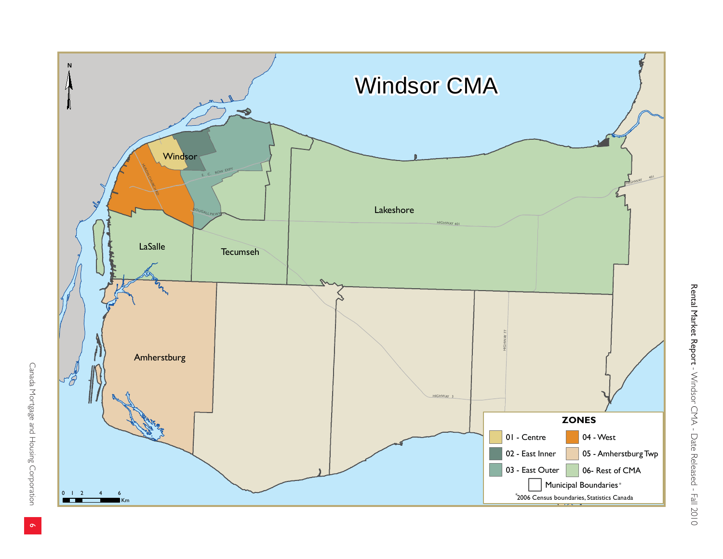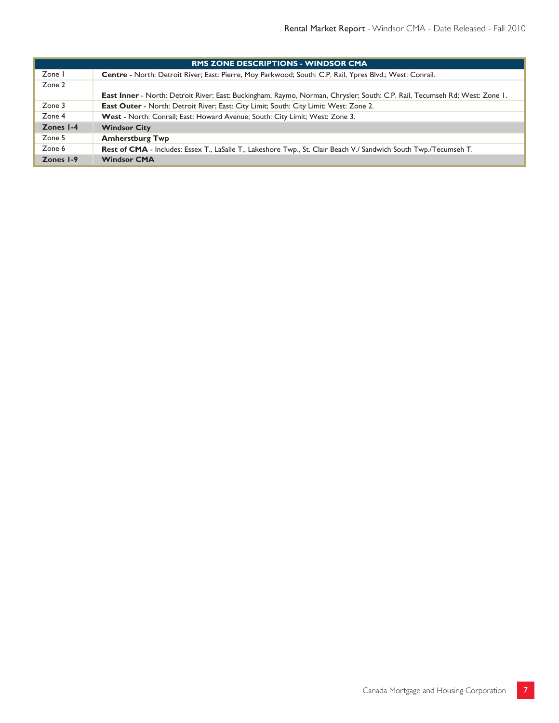|           | <b>RMS ZONE DESCRIPTIONS - WINDSOR CMA</b>                                                                                 |
|-----------|----------------------------------------------------------------------------------------------------------------------------|
| Zone I    | Centre - North: Detroit River; East: Pierre, Moy Parkwood; South: C.P. Rail, Ypres Blvd.; West: Conrail.                   |
| Zone 2    |                                                                                                                            |
|           | East Inner - North: Detroit River; East: Buckingham, Raymo, Norman, Chrysler; South: C.P. Rail, Tecumseh Rd; West: Zone 1. |
| Zone 3    | East Outer - North: Detroit River; East: City Limit; South: City Limit; West: Zone 2.                                      |
| Zone 4    | West - North: Conrail; East: Howard Avenue; South: City Limit; West: Zone 3.                                               |
| Zones 1-4 | <b>Windsor City</b>                                                                                                        |
| Zone 5    | <b>Amherstburg Twp</b>                                                                                                     |
| Zone 6    | Rest of CMA - Includes: Essex T., LaSalle T., Lakeshore Twp., St. Clair Beach V./ Sandwich South Twp./Tecumseh T.          |
| Zones 1-9 | <b>Windsor CMA</b>                                                                                                         |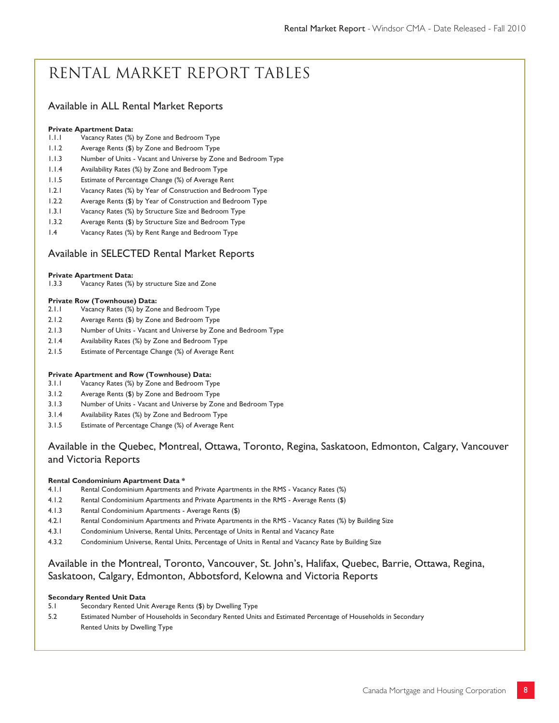# Rental Market Report Tables

#### Available in ALL Rental Market Reports

#### **Private Apartment Data:**

- 1.1.1 Vacancy Rates (%) by Zone and Bedroom Type
- 1.1.2 Average Rents (\$) by Zone and Bedroom Type
- 1.1.3 Number of Units Vacant and Universe by Zone and Bedroom Type
- 1.1.4 Availability Rates (%) by Zone and Bedroom Type
- 1.1.5 Estimate of Percentage Change (%) of Average Rent
- 1.2.1 Vacancy Rates (%) by Year of Construction and Bedroom Type
- 1.2.2 Average Rents (\$) by Year of Construction and Bedroom Type
- 1.3.1 Vacancy Rates (%) by Structure Size and Bedroom Type
- 1.3.2 Average Rents (\$) by Structure Size and Bedroom Type
- 1.4 Vacancy Rates (%) by Rent Range and Bedroom Type

#### Available in SELECTED Rental Market Reports

# **Private Apartment Data:**<br>1.3.3 Vacancy Rates (%)

Vacancy Rates (%) by structure Size and Zone

#### **Private Row (Townhouse) Data:**

- 2.1.1 Vacancy Rates (%) by Zone and Bedroom Type
- 2.1.2 Average Rents (\$) by Zone and Bedroom Type
- 2.1.3 Number of Units Vacant and Universe by Zone and Bedroom Type
- 2.1.4 Availability Rates (%) by Zone and Bedroom Type
- 2.1.5 Estimate of Percentage Change (%) of Average Rent

#### **Private Apartment and Row (Townhouse) Data:**

- 3.1.1 Vacancy Rates (%) by Zone and Bedroom Type
- 3.1.2 Average Rents (\$) by Zone and Bedroom Type
- 3.1.3 Number of Units Vacant and Universe by Zone and Bedroom Type
- 3.1.4 Availability Rates (%) by Zone and Bedroom Type
- 3.1.5 Estimate of Percentage Change (%) of Average Rent

#### Available in the Quebec, Montreal, Ottawa, Toronto, Regina, Saskatoon, Edmonton, Calgary, Vancouver and Victoria Reports

#### **Rental Condominium Apartment Data \***

- 4.1.1 Rental Condominium Apartments and Private Apartments in the RMS Vacancy Rates (%)
- 4.1.2 Rental Condominium Apartments and Private Apartments in the RMS Average Rents (\$)
- 4.1.3 Rental Condominium Apartments Average Rents (\$)
- 4.2.1 Rental Condominium Apartments and Private Apartments in the RMS Vacancy Rates (%) by Building Size
- 4.3.1 Condominium Universe, Rental Units, Percentage of Units in Rental and Vacancy Rate
- 4.3.2 Condominium Universe, Rental Units, Percentage of Units in Rental and Vacancy Rate by Building Size

#### Available in the Montreal, Toronto, Vancouver, St. John's, Halifax, Quebec, Barrie, Ottawa, Regina, Saskatoon, Calgary, Edmonton, Abbotsford, Kelowna and Victoria Reports

#### **Secondary Rented Unit Data**

- 5.1 Secondary Rented Unit Average Rents (\$) by Dwelling Type
- 5.2 Estimated Number of Households in Secondary Rented Units and Estimated Percentage of Households in Secondary Rented Units by Dwelling Type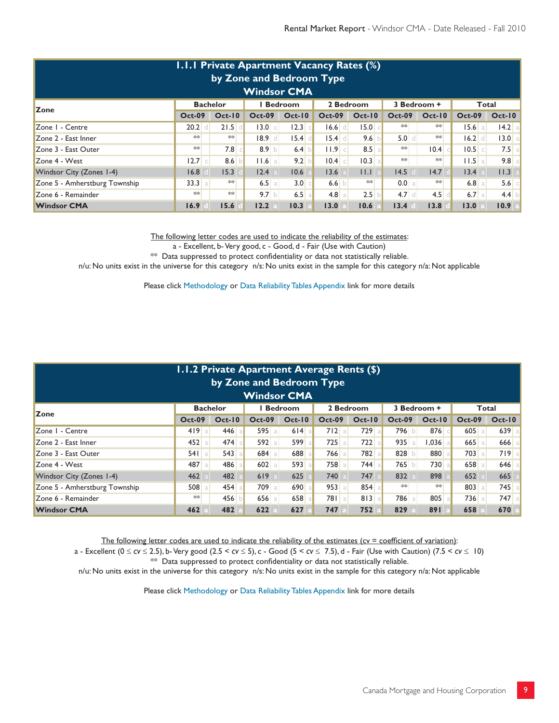|                                                                                       | <b>I.I.I Private Apartment Vacancy Rates (%)</b><br>by Zone and Bedroom Type<br><b>Windsor CMA</b> |          |               |          |               |          |               |          |               |           |  |  |  |  |  |
|---------------------------------------------------------------------------------------|----------------------------------------------------------------------------------------------------|----------|---------------|----------|---------------|----------|---------------|----------|---------------|-----------|--|--|--|--|--|
| 2 Bedroom<br><b>Bachelor</b><br><b>Bedroom</b><br>3 Bedroom +<br>Total<br><b>Zone</b> |                                                                                                    |          |               |          |               |          |               |          |               |           |  |  |  |  |  |
|                                                                                       | <b>Oct-09</b>                                                                                      | $Oct-10$ | <b>Oct-09</b> | $Oct-10$ | <b>Oct-09</b> | $Oct-10$ | <b>Oct-09</b> | $Oct-10$ | <b>Oct-09</b> | $Oct-10$  |  |  |  |  |  |
| Zone I - Centre                                                                       | 20.2                                                                                               | 21.5     | 3.0           | 2.3      | 16.6          | 15.0     | **            | $**$     | $15.6$ a      | $ 4.2 $ a |  |  |  |  |  |
| Zone 2 - East Inner                                                                   | $**$                                                                                               | $**$     | 18.9          | 15.4     | $15.4$ d      | 9.6      | $5.0$ d       | $**$     | 16.2          | 13.0 a    |  |  |  |  |  |
| Zone 3 - East Outer                                                                   | $**$                                                                                               | 7.8      | 8.9<br>b.     | 6.4      | $11.9$ c      | $8.5$ a  | $**$          | 10.4     | 10.5          | $7.5$ a   |  |  |  |  |  |
| Zone 4 - West                                                                         | 2.7 c                                                                                              | 8.6      | $11.6$ a      | 9.2 b    | 0.4 c         | 10.3     | **            | $**$     | $11.5$ a      | $9.8$ a   |  |  |  |  |  |
| Windsor City (Zones 1-4)                                                              | 16.8                                                                                               | 15.3     | 12.4          | 10.6     | 13.6          | 11.1     | 14.5          | 14.7     | 13.4          | 11.3      |  |  |  |  |  |
| Zone 5 - Amherstburg Township                                                         | 33.3 a                                                                                             | $**$     | 6.5<br>a      | 3.0      | 6.6 b         | $**$     | 0.0 a         | $**$     | $6.8$ a       | 5.6 c     |  |  |  |  |  |
| Zone 6 - Remainder                                                                    | $**$                                                                                               | **       | 9.7 b         | 6.5a     | $4.8$ a       | 2.5      | $4.7$ d       | 4.5      | $6.7$ a       | $4.4$ b   |  |  |  |  |  |
| <b>Windsor CMA</b>                                                                    | 16.9                                                                                               | 15.6     | 12.2          | 10.3     | 13.0          | 10.6     | 13.4          | 13.8     | 13.0          | 10.9      |  |  |  |  |  |

The following letter codes are used to indicate the reliability of the estimates:

a - Excellent, b- Very good, c - Good, d - Fair (Use with Caution)

\*\* Data suppressed to protect confidentiality or data not statistically reliable.

n/u: No units exist in the universe for this category n/s: No units exist in the sample for this category n/a: Not applicable

Please click Methodology or Data Reliability Tables Appendix link for more details

| 1.1.2 Private Apartment Average Rents (\$)<br>by Zone and Bedroom Type<br><b>Windsor CMA</b> |               |          |               |          |               |          |               |               |               |          |  |  |  |  |
|----------------------------------------------------------------------------------------------|---------------|----------|---------------|----------|---------------|----------|---------------|---------------|---------------|----------|--|--|--|--|
| <b>Bachelor</b><br><b>I</b> Bedroom<br>2 Bedroom<br>3 Bedroom +<br>Total<br><b>Zone</b>      |               |          |               |          |               |          |               |               |               |          |  |  |  |  |
|                                                                                              | <b>Oct-09</b> | $Oct-10$ | <b>Oct-09</b> | $Oct-10$ | <b>Oct-09</b> | $Oct-10$ | <b>Oct-09</b> | $Oct-10$      | <b>Oct-09</b> | $Oct-10$ |  |  |  |  |
| Zone I - Centre                                                                              | 419a          | 446      | 595<br>a.     | $614$ a  | 712           | 729      | 796 b         | 876           | 605<br>a      | 639a     |  |  |  |  |
| Zone 2 - East Inner                                                                          | $452$ a       | $474$ a  | $592$ a       | 599a     | $725$ a       | 722      | 935a          | $1,036$ a     | $665$ a       | $666$ a  |  |  |  |  |
| Zone 3 - East Outer                                                                          | 541a          | 543      | $684$ a       | 688      | 766 a         | 782 a    | 828 b         | 880           | 703 a         | 719a     |  |  |  |  |
| Zone 4 - West                                                                                | 487 a         | 486      | $602$ a       | 593a     | 758 a         | $744$ a  | 765 b         | <b>730</b> al | 658 a         | $646$ a  |  |  |  |  |
| Windsor City (Zones 1-4)                                                                     | 462           | 482      | 619           | 625      | 740           | 747      | 832           | 898           | 652           | 665      |  |  |  |  |
| Zone 5 - Amherstburg Township                                                                | 508           | 454      | 709 a         | 690a     | $953$ a       | $854$ a  | **            | **            | 803 a         | 745 a    |  |  |  |  |
| Zone 6 - Remainder                                                                           | $**$          | 456      | $656$ a       | 658 a    | 781 a         | $813$ a  | $786$ a       | 805           | 736 a         | 747 a    |  |  |  |  |
| <b>Windsor CMA</b>                                                                           | 462           | 482      | 622           | 627      | 747           | 752      | 829           | 891           | 658           | 670      |  |  |  |  |

The following letter codes are used to indicate the reliability of the estimates ( $cv =$  coefficient of variation):

a - Excellent (0 ≤ *cv* ≤ 2.5), b- Very good (2.5 < *cv* ≤ 5), c - Good (5 < *cv* ≤ 7.5), d - Fair (Use with Caution) (7.5 < *cv* ≤ 10) \*\* Data suppressed to protect confidentiality or data not statistically reliable.

n/u: No units exist in the universe for this category n/s: No units exist in the sample for this category n/a: Not applicable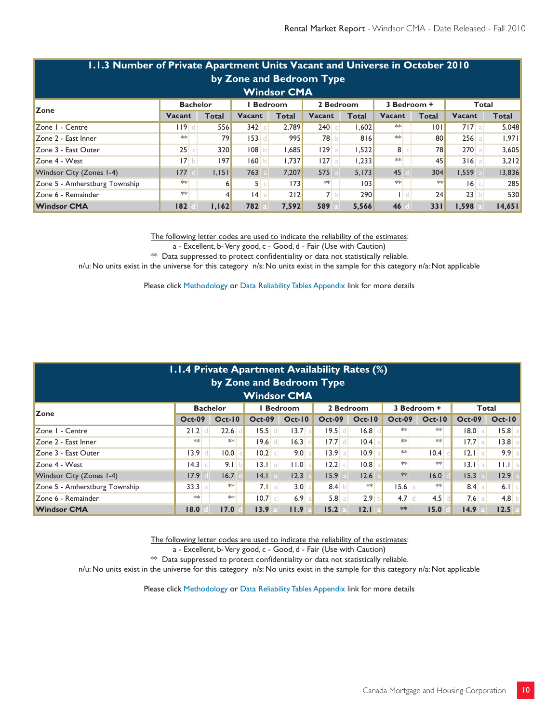| 1.1.3 Number of Private Apartment Units Vacant and Universe in October 2010                                                                          |        |       |                    |       |                |        |                |      |         |        |  |  |  |  |
|------------------------------------------------------------------------------------------------------------------------------------------------------|--------|-------|--------------------|-------|----------------|--------|----------------|------|---------|--------|--|--|--|--|
| by Zone and Bedroom Type                                                                                                                             |        |       |                    |       |                |        |                |      |         |        |  |  |  |  |
| <b>Windsor CMA</b>                                                                                                                                   |        |       |                    |       |                |        |                |      |         |        |  |  |  |  |
| 2 Bedroom<br>3 Bedroom +<br><b>Bachelor</b><br><b>Bedroom</b><br><b>Total</b>                                                                        |        |       |                    |       |                |        |                |      |         |        |  |  |  |  |
| <b>Zone</b><br>Vacant<br><b>Total</b><br>Vacant<br><b>Total</b><br><b>Total</b><br>Vacant<br><b>Total</b><br>Vacant<br><b>Vacant</b><br><b>Total</b> |        |       |                    |       |                |        |                |      |         |        |  |  |  |  |
| Zone I - Centre                                                                                                                                      | 119d   | 556   | $342$ c            | 2.789 | $240$ c        | 1,602  | $**$           | 0    | $717$ a | 5,048  |  |  |  |  |
| Zone 2 - East Inner                                                                                                                                  | $**$   | 79    | $153$ <sup>d</sup> | 995   | 78 b           | 816    | $**$           | 80   | $256$ a | 1,971  |  |  |  |  |
| Zone 3 - East Outer                                                                                                                                  | $25$ c | 320   | 108 b              | .685  | 129a           | 1,522  | 8 <sup>°</sup> | 78   | 270a    | 3,605  |  |  |  |  |
| Zone 4 - West                                                                                                                                        | 17 b   | 197   | 160 b              | 1.737 | $127$ a        | 233. ا | $**$           | 45   | 316a    | 3,212  |  |  |  |  |
| Windsor City (Zones 1-4)                                                                                                                             | 177    | 1.151 | 763                | 7.207 | 575            | 5.173  | 45             | 304  | 1.559   | 13,836 |  |  |  |  |
| Zone 5 - Amherstburg Township                                                                                                                        | $**$   |       | 5 c                | 73    | **             | 103    | $**$           | $**$ | 6 c     | 285    |  |  |  |  |
| Zone 6 - Remainder                                                                                                                                   | $**$   |       | $ 4 $ a            | 2 2   | 7 <sub>b</sub> | 290    | Hd.            | 24   | $23$ b  | 530    |  |  |  |  |
| <b>Windsor CMA</b>                                                                                                                                   | 82     | 1,162 | 782                | 7.592 | 589            | 5,566  | 46             | 331  | 1.598   | 14,651 |  |  |  |  |

The following letter codes are used to indicate the reliability of the estimates:

a - Excellent, b- Very good, c - Good, d - Fair (Use with Caution)

\*\* Data suppressed to protect confidentiality or data not statistically reliable.

n/u: No units exist in the universe for this category n/s: No units exist in the sample for this category n/a: Not applicable

Please click Methodology or Data Reliability Tables Appendix link for more details

|                                                                                       | <b>1.1.4 Private Apartment Availability Rates (%)</b><br>by Zone and Bedroom Type |            |                 |          |               |            |               |          |               |           |  |  |  |  |  |
|---------------------------------------------------------------------------------------|-----------------------------------------------------------------------------------|------------|-----------------|----------|---------------|------------|---------------|----------|---------------|-----------|--|--|--|--|--|
| <b>Windsor CMA</b>                                                                    |                                                                                   |            |                 |          |               |            |               |          |               |           |  |  |  |  |  |
| <b>Bachelor</b><br><b>Bedroom</b><br>2 Bedroom<br>3 Bedroom +<br>Total<br><b>Zone</b> |                                                                                   |            |                 |          |               |            |               |          |               |           |  |  |  |  |  |
|                                                                                       | <b>Oct-09</b>                                                                     | $Oct-10$   | <b>Oct-09</b>   | $Oct-10$ | <b>Oct-09</b> | $Oct-10$   | <b>Oct-09</b> | $Oct-10$ | <b>Oct-09</b> | $Oct-10$  |  |  |  |  |  |
| Zone I - Centre                                                                       | 21.2                                                                              | 22.6       | 15.5<br>$\circ$ | $13.7$ a | $19.5$ d      | 16.8       | $**$          | $**$     | 18.0 a        | $15.8$ a  |  |  |  |  |  |
| Zone 2 - East Inner                                                                   | $**$                                                                              | **         | 19.6            | 16.3     | $17.7$ d      | 0.4        | $**$          | **       | $17.7$ a      | $13.8$ a  |  |  |  |  |  |
| Zone 3 - East Outer                                                                   | 13.9<br>$\sigma$                                                                  | 10.0       | $10.2$ c        | 9.0 a    | 13.9a         | $10.9$ a   | $**$          | 0.4      | 2.1 a         | 9.9a      |  |  |  |  |  |
| Zone 4 - West                                                                         | $\begin{bmatrix} 4.3 \end{bmatrix}$ c                                             | 9.1 b      | 3.1 a           | 11.0 c   | 12.2          | $10.8$ a   | **            | **       | 3.1 a         | II.I a    |  |  |  |  |  |
| Windsor City (Zones 1-4)                                                              | 17.9                                                                              | 16.7       | 4.1             | 12.3     | 15.9          | 12.6       | $**$          | 16.0     | 15.3          | 12.9      |  |  |  |  |  |
| Zone 5 - Amherstburg Township                                                         | 33.3 a                                                                            | $\ast\ast$ | $7.1$ a         | 3.0      | 8.4 b         | $\ast\ast$ | $15.6$ a      | $**$     | $8.4$ a       | $6.1$ $c$ |  |  |  |  |  |
| Zone 6 - Remainder                                                                    | $**$                                                                              | $**$       | 0.7 c           | $6.9$ al | 5.8           | 2.9        | $4.7$ d       | 4.5      | $7.6$ a       | 4.8       |  |  |  |  |  |
| <b>Windsor CMA</b>                                                                    | 8.0                                                                               | 17.0       | 13.9            | 11.9     | 15.2          | 12.1       | **            | 15.0     | 14.9          | 12.5      |  |  |  |  |  |

The following letter codes are used to indicate the reliability of the estimates:

a - Excellent, b- Very good, c - Good, d - Fair (Use with Caution)

\*\* Data suppressed to protect confidentiality or data not statistically reliable.

n/u: No units exist in the universe for this category n/s: No units exist in the sample for this category n/a: Not applicable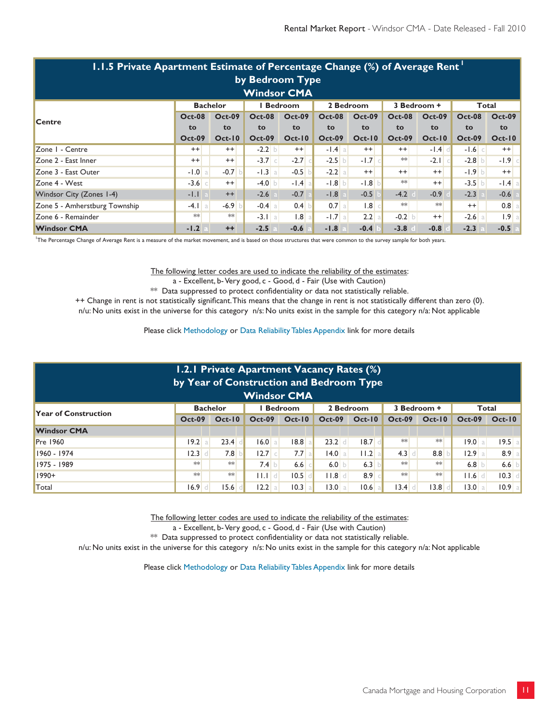|                                                                        | 1.1.5 Private Apartment Estimate of Percentage Change (%) of Average Rent |               |                |               |               |                       |               |               |                        |                  |  |  |  |  |  |
|------------------------------------------------------------------------|---------------------------------------------------------------------------|---------------|----------------|---------------|---------------|-----------------------|---------------|---------------|------------------------|------------------|--|--|--|--|--|
| by Bedroom Type                                                        |                                                                           |               |                |               |               |                       |               |               |                        |                  |  |  |  |  |  |
| <b>Windsor CMA</b>                                                     |                                                                           |               |                |               |               |                       |               |               |                        |                  |  |  |  |  |  |
| <b>Bachelor</b><br><b>Bedroom</b><br>2 Bedroom<br>3 Bedroom +<br>Total |                                                                           |               |                |               |               |                       |               |               |                        |                  |  |  |  |  |  |
| <b>Centre</b>                                                          | <b>Oct-08</b>                                                             | <b>Oct-09</b> | <b>Oct-08</b>  | <b>Oct-09</b> | <b>Oct-08</b> | <b>Oct-09</b>         | $Oct-08$      | <b>Oct-09</b> | <b>Oct-08</b>          | <b>Oct-09</b>    |  |  |  |  |  |
|                                                                        | to                                                                        | to            | to             | to            | to            | to                    | to            | to            | to                     | to               |  |  |  |  |  |
|                                                                        | <b>Oct-09</b>                                                             | $Oct-10$      | <b>Oct-09</b>  | $Oct-10$      | <b>Oct-09</b> | $Oct-10$              | <b>Oct-09</b> | $Oct-10$      | <b>Oct-09</b>          | $Oct-10$         |  |  |  |  |  |
| Zone I - Centre                                                        | $^{++}$                                                                   | $++$          | $-2.2$ b       | $^{++}$       | $-1.4$ a      | $^{++}$               | $^{++}$       | $-1.4$ d      | $-1.6$<br>$\subset$    | $^{++}$          |  |  |  |  |  |
| Zone 2 - East Inner                                                    | $^{++}$                                                                   | $^{++}$       | $-3.7$ $\circ$ | $-2.7$        | $-2.5$ b      | $-1.7$ $\circ$        | $**$          | $-2.1$        | $-2.8$                 | $-1.9$ c         |  |  |  |  |  |
| Zone 3 - East Outer                                                    | $-1.0 a$                                                                  | $-0.7$ b      | $-1.3$ a       | $-0.5$        | $-2.2$ a      | $^{++}$               | $^{++}$       | $++$          | $-1.9$ b               | $^{++}$          |  |  |  |  |  |
| Zone 4 - West                                                          | $-3.6$ $\circ$                                                            | $^{++}$       | $-4.0$ b       | $-1.4$ a      | $-1.8$ b      | $-1.8$                | $**$          | $^{++}$       | $-3.5$<br>$\mathsf{h}$ | $-1.4$ a         |  |  |  |  |  |
| Windsor City (Zones 1-4)                                               | $-1.1$                                                                    | $^{++}$       | $-2.6$         | $-0.7$        | $-1.8$        | $-0.5$                | $-4.2$        | $-0.9$        | $-2.3$                 | $-0.6$           |  |  |  |  |  |
| Zone 5 - Amherstburg Township                                          | $-4.1$ a                                                                  | $-6.9$        | $-0.4$ a       | $0.4$ b       | $0.7$ a       | 1.8                   | $**$          | $**$          | $++$                   | $0.8$ a          |  |  |  |  |  |
| Zone 6 - Remainder                                                     | $**$                                                                      | $**$          | $-3.1$ a       | $1.8$ a       | $-1.7$ a      | 2.2<br>$\overline{a}$ | $-0.2$ b      | $++$          | $-2.6$<br>a            | 1.9 <sub>a</sub> |  |  |  |  |  |
| <b>Windsor CMA</b>                                                     | $-1.2$                                                                    | $++$          | $-2.5$         | $-0.6$        | $-1.8$        | $-0.4$                | $-3.8$        | $-0.8$        | $-2.3$                 | $-0.5$           |  |  |  |  |  |

1 The Percentage Change of Average Rent is a measure of the market movement, and is based on those structures that were common to the survey sample for both years.

The following letter codes are used to indicate the reliability of the estimates:

a - Excellent, b- Very good, c - Good, d - Fair (Use with Caution)

\*\* Data suppressed to protect confidentiality or data not statistically reliable.

++ Change in rent is not statistically significant. This means that the change in rent is not statistically different than zero (0).

n/u: No units exist in the universe for this category n/s: No units exist in the sample for this category n/a: Not applicable

Please click Methodology or Data Reliability Tables Appendix link for more details

| 1.2.1 Private Apartment Vacancy Rates (%)<br>by Year of Construction and Bedroom Type<br><b>Windsor CMA</b> |               |          |                           |          |        |               |               |          |                  |          |  |  |  |  |
|-------------------------------------------------------------------------------------------------------------|---------------|----------|---------------------------|----------|--------|---------------|---------------|----------|------------------|----------|--|--|--|--|
| <b>Bachelor</b><br>2 Bedroom<br>3 Bedroom +<br><b>Bedroom</b><br>Total<br><b>Year of Construction</b>       |               |          |                           |          |        |               |               |          |                  |          |  |  |  |  |
|                                                                                                             | <b>Oct-09</b> | $Oct-10$ | $Oct-09$                  | $Oct-10$ |        | Oct-09 Oct-10 | <b>Oct-09</b> | $Oct-10$ | <b>Oct-09</b>    | $Oct-10$ |  |  |  |  |
| <b>Windsor CMA</b>                                                                                          |               |          |                           |          |        |               |               |          |                  |          |  |  |  |  |
| <b>Pre 1960</b>                                                                                             | 19.2 a        | 23.4     | 16.0 a                    | 8.8      | 23.2   | 8.7           | $**$          | $**$     | 19.0<br>$\alpha$ | $19.5$ a |  |  |  |  |
| 1960 - 1974                                                                                                 | 2.3           | 7.8      | 2.7 c                     | $7.7$ a  | 14.0 a | $11.2$ a      | 4.3           | 8.8      | 12.9a            | 8.9a     |  |  |  |  |
| 1975 - 1989                                                                                                 | $**$          | $**$     | 7.4 b                     | 6.6      | 6.0    | 6.3           | $**$          | $**$     | 6.8              | 6.6 b    |  |  |  |  |
| $1990+$                                                                                                     | $*$           | $**$     | $\mathbf{H}.\mathbf{H}$ d | 10.5     | 11.8   | 8.9           | $**$          | $**$     | 1.6              | $10.3$ d |  |  |  |  |
| Total                                                                                                       | 16.9          | 15.6     | $12.2$ a                  | 10.3     | 13.0   | 10.6          | 13.4          | 13.8     | 13.0             | $10.9$ a |  |  |  |  |

The following letter codes are used to indicate the reliability of the estimates:

a - Excellent, b- Very good, c - Good, d - Fair (Use with Caution)

\*\* Data suppressed to protect confidentiality or data not statistically reliable.

n/u: No units exist in the universe for this category n/s: No units exist in the sample for this category n/a: Not applicable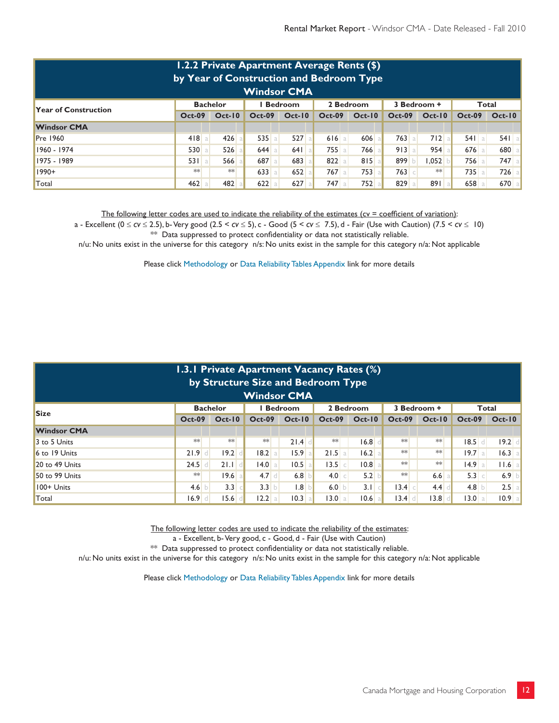|                                                                                                  | 1.2.2 Private Apartment Average Rents (\$)<br>by Year of Construction and Bedroom Type<br><b>Windsor CMA</b> |          |               |          |          |          |                 |          |               |           |  |  |  |  |  |
|--------------------------------------------------------------------------------------------------|--------------------------------------------------------------------------------------------------------------|----------|---------------|----------|----------|----------|-----------------|----------|---------------|-----------|--|--|--|--|--|
| 3 Bedroom +<br><b>Bachelor</b><br>2 Bedroom<br>I Bedroom<br>Total<br><b>Year of Construction</b> |                                                                                                              |          |               |          |          |          |                 |          |               |           |  |  |  |  |  |
|                                                                                                  | <b>Oct-09</b>                                                                                                | $Oct-10$ | <b>Oct-09</b> | $Oct-10$ | $Oct-09$ | $Oct-10$ | <b>Oct-09</b>   | $Oct-10$ | <b>Oct-09</b> | $Oct-10$  |  |  |  |  |  |
| <b>Windsor CMA</b>                                                                               |                                                                                                              |          |               |          |          |          |                 |          |               |           |  |  |  |  |  |
| <b>Pre 1960</b>                                                                                  | $418$ a                                                                                                      | 426      | 535a          | 527a     | 616a     | 606      | 763<br>a        | 712a     | 541a          | $541$ a   |  |  |  |  |  |
| 1960 - 1974                                                                                      | 530                                                                                                          | $526$ a  | 644<br>al     | $641$ a  | $755$ a  | 7661     | 913<br>$\alpha$ | 954      | $676$ a       | 680<br>aΙ |  |  |  |  |  |
| 1975 - 1989                                                                                      | 531a                                                                                                         | $566$ a  | 687 a         | $683$ a  | $822$ a  | 815a     | 899             | 1,052    | 756 a         | $747$ a   |  |  |  |  |  |
| $1990+$                                                                                          | $**$                                                                                                         | **       | $633$ a       | 652a     | $767$ a  | $753$ a  | $763$ c         | $**$     | $735$ a       | $726$ a   |  |  |  |  |  |
| Total                                                                                            | 462                                                                                                          | 482      | 622           | $627$ a  | 747      | 752a     | 829             | 891      | 658           | 670 a     |  |  |  |  |  |

The following letter codes are used to indicate the reliability of the estimates ( $cv = coefficient$  of variation):

a - Excellent ( $0 \le c$ v  $\le$  2.5), b- Very good (2.5 <  $c$ v  $\le$  5), c - Good (5 <  $c$ v  $\le$  7.5), d - Fair (Use with Caution) (7.5 <  $c$ v  $\le$  10)

\*\* Data suppressed to protect confidentiality or data not statistically reliable.

n/u: No units exist in the universe for this category n/s: No units exist in the sample for this category n/a: Not applicable

Please click Methodology or Data Reliability Tables Appendix link for more details

|                                                                                       | 1.3.1 Private Apartment Vacancy Rates (%)<br>by Structure Size and Bedroom Type |    |          |  |               |               |  |                |          |               |               |                  |          |  |  |
|---------------------------------------------------------------------------------------|---------------------------------------------------------------------------------|----|----------|--|---------------|---------------|--|----------------|----------|---------------|---------------|------------------|----------|--|--|
| <b>Windsor CMA</b>                                                                    |                                                                                 |    |          |  |               |               |  |                |          |               |               |                  |          |  |  |
| <b>Bachelor</b><br><b>Bedroom</b><br>2 Bedroom<br>3 Bedroom +<br>Total<br><b>Size</b> |                                                                                 |    |          |  |               |               |  |                |          |               |               |                  |          |  |  |
|                                                                                       | <b>Oct-09</b>                                                                   |    | $Oct-10$ |  | <b>Oct-09</b> | <b>Oct-10</b> |  | $Oct-09$       | $Oct-10$ | <b>Oct-09</b> | <b>Oct-10</b> | <b>Oct-09</b>    | $Oct-10$ |  |  |
| <b>Windsor CMA</b>                                                                    |                                                                                 |    |          |  |               |               |  |                |          |               |               |                  |          |  |  |
| 3 to 5 Units                                                                          | $**$                                                                            |    | $**$     |  | $**$          | 21.4          |  | $**$           | 16.8     | $**$          | $**$          | $18.5$ d         | 19.2     |  |  |
| 6 to 19 Units                                                                         | 21.9                                                                            |    | 19.2     |  | 18.2 a        | 15.9          |  | $21.5$ a       | 16.2 a   | $**$          | $**$          | $19.7$ a         | 16.3 a   |  |  |
| 20 to 49 Units                                                                        | $24.5$ d                                                                        |    | 21.1     |  | 14.0 a        | $10.5$ al     |  | $13.5$ c       | $10.8$ a | $**$          | $**$          | $14.9$ a         | $11.6$ a |  |  |
| 50 to 99 Units                                                                        | $**$                                                                            |    | 19.6     |  | $4.7$ d       | 6.8           |  | $-4.0$ $\circ$ | 5.2      | $**$          | $6.6$ a       | 5.3 c            | 6.9      |  |  |
| 100+ Units                                                                            | 4.6 $\vert$                                                                     |    | 3.3      |  | 3.3 b         | .8            |  | 6.0 $b$        | 3.1      | 3.4 c         | 4.4           | 4.8 <sub>b</sub> | 2.5a     |  |  |
| Total                                                                                 | 16.9                                                                            | a. | 15.6     |  | $12.2$ a      | $10.3$ a      |  | 13.0 a         | 10.6     | $13.4$ d      | 13.8          | 13.0 a           | $10.9$ a |  |  |

The following letter codes are used to indicate the reliability of the estimates:

a - Excellent, b- Very good, c - Good, d - Fair (Use with Caution)

\*\* Data suppressed to protect confidentiality or data not statistically reliable.

n/u: No units exist in the universe for this category n/s: No units exist in the sample for this category n/a: Not applicable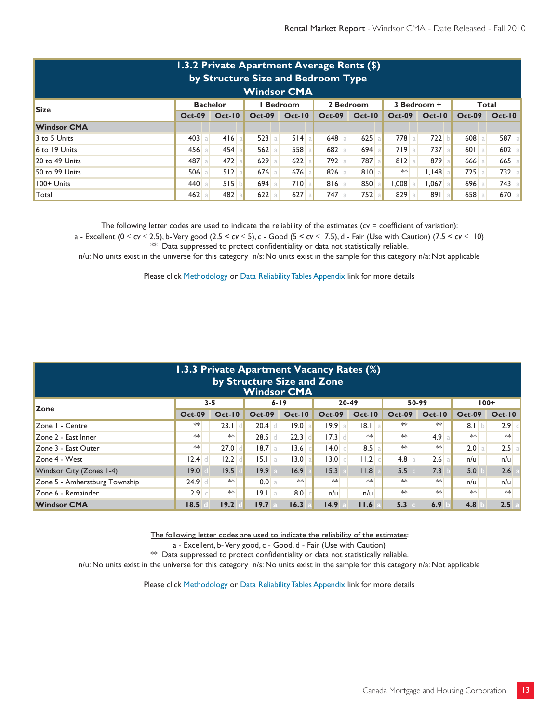|                                                                        | 1.3.2 Private Apartment Average Rents (\$)<br>by Structure Size and Bedroom Type<br><b>Windsor CMA</b> |          |               |          |               |           |               |               |          |          |  |  |  |  |  |
|------------------------------------------------------------------------|--------------------------------------------------------------------------------------------------------|----------|---------------|----------|---------------|-----------|---------------|---------------|----------|----------|--|--|--|--|--|
| <b>Bachelor</b><br>2 Bedroom<br>3 Bedroom +<br><b>Bedroom</b><br>Total |                                                                                                        |          |               |          |               |           |               |               |          |          |  |  |  |  |  |
| <b>Size</b>                                                            | $Oct-09$                                                                                               | $Oct-10$ | <b>Oct-09</b> | $Oct-10$ | <b>Oct-09</b> | $Oct-10$  | <b>Oct-09</b> | <b>Oct-10</b> | $Oct-09$ | $Oct-10$ |  |  |  |  |  |
| <b>Windsor CMA</b>                                                     |                                                                                                        |          |               |          |               |           |               |               |          |          |  |  |  |  |  |
| 3 to 5 Units                                                           | $403$ a                                                                                                | $416$ a  | $523$ a       | $514$ a  | 648           | 625<br>a. | 778 a         | 722           | 608      | 587 a    |  |  |  |  |  |
| 6 to 19 Units                                                          | 456 a                                                                                                  | 454      | $562$ a       | 558      | $682$ a       | 694<br>a  | 719a          | $737$ a       | 601a     | $602$ a  |  |  |  |  |  |
| 20 to 49 Units                                                         | 487 a                                                                                                  | 472      | 629a          | 622      | $792$ a       | 787 al    | 812a          | 879           | $666$ a  | $665$ a  |  |  |  |  |  |
| 50 to 99 Units                                                         | $506$ a                                                                                                | 512a     | $676$ a       | $676$ a  | $826$ a       | 810a      | $**$          | 1,148         | $725$ a  | $732$ a  |  |  |  |  |  |
| $100+$ Units                                                           | 440 a                                                                                                  | 515      | 694a          | 710a     | 816a          | 850       | $1,008$ a     | $1,067$ a     | $696$ a  | $743$ a  |  |  |  |  |  |
| Total                                                                  | $462$ a                                                                                                | 482      | $622$ a       | $627$ a  | 747 a         | $752$ a   | 829           | 891a          | 658      | $670$ a  |  |  |  |  |  |

The following letter codes are used to indicate the reliability of the estimates ( $cv = coefficient$  of variation):

a - Excellent (0 ≤ *cv* ≤ 2.5), b- Very good (2.5 < *cv* ≤ 5), c - Good (5 < *cv* ≤ 7.5), d - Fair (Use with Caution) (7.5 < *cv* ≤ 10) \*\* Data suppressed to protect confidentiality or data not statistically reliable.

n/u: No units exist in the universe for this category n/s: No units exist in the sample for this category n/a: Not applicable

Please click Methodology or Data Reliability Tables Appendix link for more details

|                                                                | 1.3.3 Private Apartment Vacancy Rates (%)<br>by Structure Size and Zone<br><b>Windsor CMA</b> |          |               |          |               |           |               |                  |               |               |  |  |  |  |  |
|----------------------------------------------------------------|-----------------------------------------------------------------------------------------------|----------|---------------|----------|---------------|-----------|---------------|------------------|---------------|---------------|--|--|--|--|--|
| 20-49<br>50-99<br>$100+$<br>$3 - 5$<br>$6 - 19$<br><b>Zone</b> |                                                                                               |          |               |          |               |           |               |                  |               |               |  |  |  |  |  |
|                                                                | <b>Oct-09</b>                                                                                 | $Oct-10$ | <b>Oct-09</b> | $Oct-10$ | <b>Oct-09</b> | $Oct-10$  | <b>Oct-09</b> | $Oct-10$         | <b>Oct-09</b> | $Oct-10$      |  |  |  |  |  |
| Zone I - Centre                                                | $**$                                                                                          | 23.1     | 20.4          | 19.0     | 19.9          | $ 8.1 $ a | $*$           | $*$              | 8.1<br>b      | $2.9$ $\circ$ |  |  |  |  |  |
| Zone 2 - East Inner                                            | $**$                                                                                          | $**$     | 28.5          | 22.3     | 17.3          | $**$      | $*$           | 4.9 <sub>a</sub> | $**$          | $*$           |  |  |  |  |  |
| Zone 3 - East Outer                                            | $**$                                                                                          | 27.0     | 8.7 <br>a.    | 13.6     | 4.0           | 8.5       | $*\ast$       | $*\ast$          | 2.0           | $2.5$ a       |  |  |  |  |  |
| <b>Zone 4 - West</b>                                           | $12.4$ d                                                                                      | 12.2     | 5.1 a         | 13.0 a   | 13.0          | 11.2      | $4.8$ a       | $2.6$ a          | n/u           | n/u           |  |  |  |  |  |
| Windsor City (Zones 1-4)                                       | 19.0                                                                                          | 19.5     | 19.9          | 16.9     | 15.3          | 11.8      | 5.5           | 7.3              | 5.0           | 2.6           |  |  |  |  |  |
| Zone 5 - Amherstburg Township                                  | $24.9$ d                                                                                      | $**$     | 0.0 a         | $*$      | $**$          | $*$       | $*$           | $*$              | n/u           | n/u           |  |  |  |  |  |
| Zone 6 - Remainder                                             | $2.9$ c                                                                                       | $**$     | $19.1$ a      | 8.0      | n/u           | n/u       | $*$           | $*$              | $*$           | $**$          |  |  |  |  |  |
| <b>Windsor CMA</b>                                             | 18.5                                                                                          | 19.2     | 19.7          | 16.3     | 14.9          | 11.6      | 5.3           | 6.9              | 4.8           | 2.5           |  |  |  |  |  |

The following letter codes are used to indicate the reliability of the estimates:

a - Excellent, b- Very good, c - Good, d - Fair (Use with Caution)

\*\* Data suppressed to protect confidentiality or data not statistically reliable.

n/u: No units exist in the universe for this category n/s: No units exist in the sample for this category n/a: Not applicable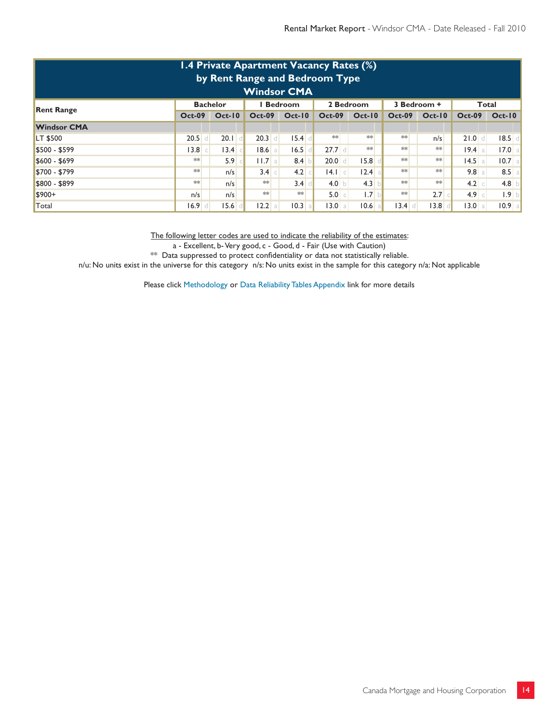| 1.4 Private Apartment Vacancy Rates (%)<br>by Rent Range and Bedroom Type<br><b>Windsor CMA</b> |                 |  |               |               |                   |          |          |           |                      |                  |               |     |                  |               |    |             |
|-------------------------------------------------------------------------------------------------|-----------------|--|---------------|---------------|-------------------|----------|----------|-----------|----------------------|------------------|---------------|-----|------------------|---------------|----|-------------|
| <b>Rent Range</b>                                                                               | <b>Bachelor</b> |  |               |               | <b>Bedroom</b>    |          |          | 2 Bedroom |                      |                  | 3 Bedroom +   |     |                  | Total         |    |             |
|                                                                                                 | <b>Oct-09</b>   |  | <b>Oct-10</b> | <b>Oct-09</b> |                   |          | $Oct-10$ |           | $Oct-10$<br>$Oct-09$ |                  | <b>Oct-09</b> |     | $Oct-10$         | <b>Oct-09</b> |    | $Oct-10$    |
| <b>Windsor CMA</b>                                                                              |                 |  |               |               |                   |          |          |           |                      |                  |               |     |                  |               |    |             |
| <b>LT \$500</b>                                                                                 | $20.5$ d        |  | $20.1$ d      |               | 20.3<br>d I       | 15.4     |          | $**$      |                      | $**$             | $**$          |     | n/s              | 21.0          | d. | $18.5$ d    |
| \$500 - \$599                                                                                   | 3.8 c           |  | 13.4          |               | $18.6$ a          | 16.5     |          | 27.7      |                      | $**$             | $**$          |     | $**$             | $19.4$ a      |    | 17.0<br>-al |
| $$600 - $699$                                                                                   | **              |  | 5.9           |               | $11.7$ a          | 8.4      |          | 20.0      |                      | 15.8             | $**$          |     | $**$             | $14.5$ a      |    | $10.7$ a    |
| \$700 - \$799                                                                                   | **              |  | n/s           |               | $3.4 \, \text{c}$ | 4.2      |          | 4.1 c     |                      | $12.4$ a         | $**$          |     | $**$             | $9.8$ a       |    | $8.5$ a     |
| \$800 - \$899                                                                                   | **              |  | n/s           |               | $**$              | 3.4      |          | 4.0       |                      | 4.3              | $**$          |     | $**$             | $4.2$ $\circ$ |    | 4.8<br>ÐI   |
| $$900+$                                                                                         | n/s             |  | n/s           |               | $**$              | $**$     |          | 5.0 c     |                      | 1.7 <sub>b</sub> | $**$          |     | 2.7 <sub>°</sub> | $4.9$ $\circ$ |    | 1.9<br>ЪI   |
| Total                                                                                           | $16.9$ d        |  | 15.6          |               | $12.2$ a          | $10.3$ a |          | 13.0      |                      | $10.6$ a         |               | 3.4 | 3.8              | 13.0 a        |    | $10.9$ a    |

The following letter codes are used to indicate the reliability of the estimates:

a - Excellent, b- Very good, c - Good, d - Fair (Use with Caution)

\*\* Data suppressed to protect confidentiality or data not statistically reliable.

n/u: No units exist in the universe for this category n/s: No units exist in the sample for this category n/a: Not applicable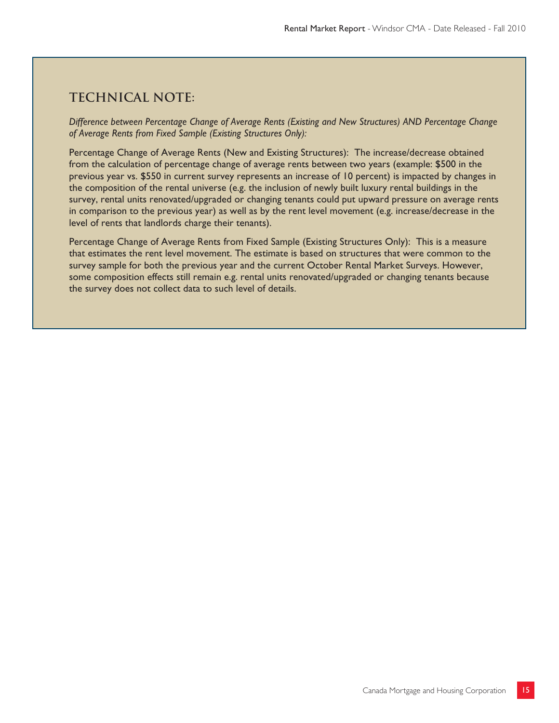## **Technical note:**

*Difference between Percentage Change of Average Rents (Existing and New Structures) AND Percentage Change of Average Rents from Fixed Sample (Existing Structures Only):*

Percentage Change of Average Rents (New and Existing Structures): The increase/decrease obtained from the calculation of percentage change of average rents between two years (example: \$500 in the previous year vs. \$550 in current survey represents an increase of 10 percent) is impacted by changes in the composition of the rental universe (e.g. the inclusion of newly built luxury rental buildings in the survey, rental units renovated/upgraded or changing tenants could put upward pressure on average rents in comparison to the previous year) as well as by the rent level movement (e.g. increase/decrease in the level of rents that landlords charge their tenants).

Percentage Change of Average Rents from Fixed Sample (Existing Structures Only): This is a measure that estimates the rent level movement. The estimate is based on structures that were common to the survey sample for both the previous year and the current October Rental Market Surveys. However, some composition effects still remain e.g. rental units renovated/upgraded or changing tenants because the survey does not collect data to such level of details.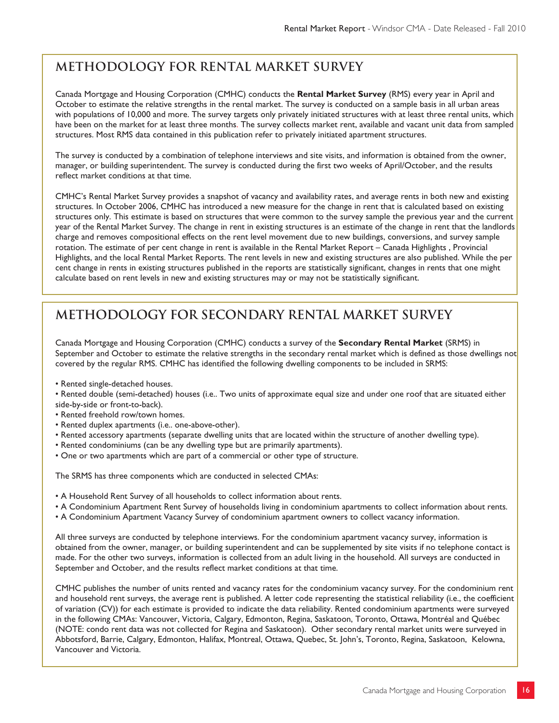# **METHODOLOGY FOR RENTAL MARKET SURVEY**

Canada Mortgage and Housing Corporation (CMHC) conducts the **Rental Market Survey** (RMS) every year in April and October to estimate the relative strengths in the rental market. The survey is conducted on a sample basis in all urban areas with populations of 10,000 and more. The survey targets only privately initiated structures with at least three rental units, which have been on the market for at least three months. The survey collects market rent, available and vacant unit data from sampled structures. Most RMS data contained in this publication refer to privately initiated apartment structures.

The survey is conducted by a combination of telephone interviews and site visits, and information is obtained from the owner, manager, or building superintendent. The survey is conducted during the first two weeks of April/October, and the results reflect market conditions at that time.

CMHC's Rental Market Survey provides a snapshot of vacancy and availability rates, and average rents in both new and existing structures. In October 2006, CMHC has introduced a new measure for the change in rent that is calculated based on existing structures only. This estimate is based on structures that were common to the survey sample the previous year and the current year of the Rental Market Survey. The change in rent in existing structures is an estimate of the change in rent that the landlords charge and removes compositional effects on the rent level movement due to new buildings, conversions, and survey sample rotation. The estimate of per cent change in rent is available in the Rental Market Report – Canada Highlights , Provincial Highlights, and the local Rental Market Reports. The rent levels in new and existing structures are also published. While the per cent change in rents in existing structures published in the reports are statistically significant, changes in rents that one might calculate based on rent levels in new and existing structures may or may not be statistically significant.

# **METHODOLOGY FOR SECONDARY RENTAL MARKET SURVEY**

Canada Mortgage and Housing Corporation (CMHC) conducts a survey of the **Secondary Rental Market** (SRMS) in September and October to estimate the relative strengths in the secondary rental market which is defined as those dwellings not covered by the regular RMS. CMHC has identified the following dwelling components to be included in SRMS:

- Rented single-detached houses.
- Rented double (semi-detached) houses (i.e.. Two units of approximate equal size and under one roof that are situated either side-by-side or front-to-back).
- Rented freehold row/town homes.
- Rented duplex apartments (i.e.. one-above-other).
- Rented accessory apartments (separate dwelling units that are located within the structure of another dwelling type).
- Rented condominiums (can be any dwelling type but are primarily apartments).
- One or two apartments which are part of a commercial or other type of structure.

The SRMS has three components which are conducted in selected CMAs:

- A Household Rent Survey of all households to collect information about rents.
- A Condominium Apartment Rent Survey of households living in condominium apartments to collect information about rents.
- A Condominium Apartment Vacancy Survey of condominium apartment owners to collect vacancy information.

All three surveys are conducted by telephone interviews. For the condominium apartment vacancy survey, information is obtained from the owner, manager, or building superintendent and can be supplemented by site visits if no telephone contact is made. For the other two surveys, information is collected from an adult living in the household. All surveys are conducted in September and October, and the results reflect market conditions at that time.

CMHC publishes the number of units rented and vacancy rates for the condominium vacancy survey. For the condominium rent and household rent surveys, the average rent is published. A letter code representing the statistical reliability (i.e., the coefficient of variation (CV)) for each estimate is provided to indicate the data reliability. Rented condominium apartments were surveyed in the following CMAs: Vancouver, Victoria, Calgary, Edmonton, Regina, Saskatoon, Toronto, Ottawa, Montréal and Québec (NOTE: condo rent data was not collected for Regina and Saskatoon). Other secondary rental market units were surveyed in Abbotsford, Barrie, Calgary, Edmonton, Halifax, Montreal, Ottawa, Quebec, St. John's, Toronto, Regina, Saskatoon, Kelowna, Vancouver and Victoria.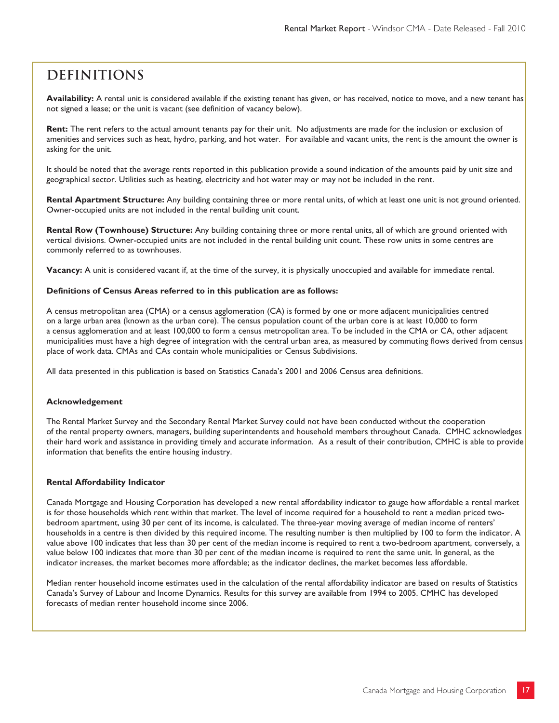# **Definitions**

**Availability:** A rental unit is considered available if the existing tenant has given, or has received, notice to move, and a new tenant has not signed a lease; or the unit is vacant (see definition of vacancy below).

**Rent:** The rent refers to the actual amount tenants pay for their unit. No adjustments are made for the inclusion or exclusion of amenities and services such as heat, hydro, parking, and hot water. For available and vacant units, the rent is the amount the owner is asking for the unit.

It should be noted that the average rents reported in this publication provide a sound indication of the amounts paid by unit size and geographical sector. Utilities such as heating, electricity and hot water may or may not be included in the rent.

**Rental Apartment Structure:** Any building containing three or more rental units, of which at least one unit is not ground oriented. Owner-occupied units are not included in the rental building unit count.

**Rental Row (Townhouse) Structure:** Any building containing three or more rental units, all of which are ground oriented with vertical divisions. Owner-occupied units are not included in the rental building unit count. These row units in some centres are commonly referred to as townhouses.

**Vacancy:** A unit is considered vacant if, at the time of the survey, it is physically unoccupied and available for immediate rental.

#### **Definitions of Census Areas referred to in this publication are as follows:**

A census metropolitan area (CMA) or a census agglomeration (CA) is formed by one or more adjacent municipalities centred on a large urban area (known as the urban core). The census population count of the urban core is at least 10,000 to form a census agglomeration and at least 100,000 to form a census metropolitan area. To be included in the CMA or CA, other adjacent municipalities must have a high degree of integration with the central urban area, as measured by commuting flows derived from census place of work data. CMAs and CAs contain whole municipalities or Census Subdivisions.

All data presented in this publication is based on Statistics Canada's 2001 and 2006 Census area definitions.

#### **Acknowledgement**

The Rental Market Survey and the Secondary Rental Market Survey could not have been conducted without the cooperation of the rental property owners, managers, building superintendents and household members throughout Canada. CMHC acknowledges their hard work and assistance in providing timely and accurate information. As a result of their contribution, CMHC is able to provide information that benefits the entire housing industry.

#### **Rental Affordability Indicator**

Canada Mortgage and Housing Corporation has developed a new rental affordability indicator to gauge how affordable a rental market is for those households which rent within that market. The level of income required for a household to rent a median priced twobedroom apartment, using 30 per cent of its income, is calculated. The three-year moving average of median income of renters' households in a centre is then divided by this required income. The resulting number is then multiplied by 100 to form the indicator. A value above 100 indicates that less than 30 per cent of the median income is required to rent a two-bedroom apartment, conversely, a value below 100 indicates that more than 30 per cent of the median income is required to rent the same unit. In general, as the indicator increases, the market becomes more affordable; as the indicator declines, the market becomes less affordable.

Median renter household income estimates used in the calculation of the rental affordability indicator are based on results of Statistics Canada's Survey of Labour and Income Dynamics. Results for this survey are available from 1994 to 2005. CMHC has developed forecasts of median renter household income since 2006.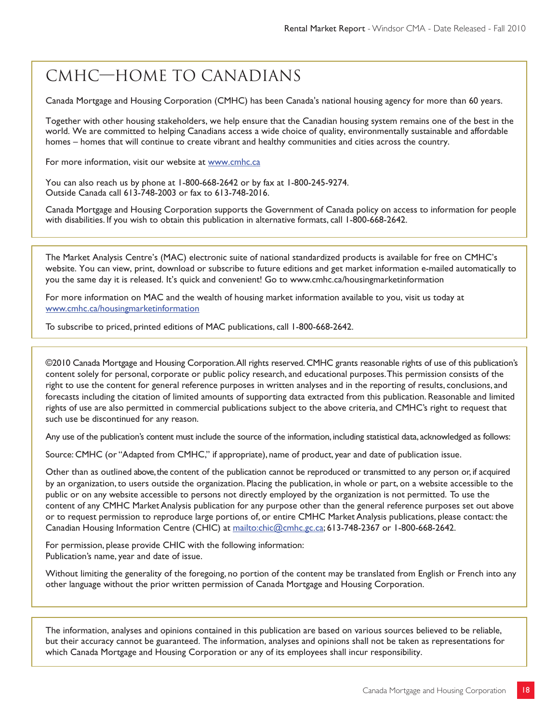# CMHC—Home to Canadians

Canada Mortgage and Housing Corporation (CMHC) has been Canada's national housing agency for more than 60 years.

Together with other housing stakeholders, we help ensure that the Canadian housing system remains one of the best in the world. We are committed to helping Canadians access a wide choice of quality, environmentally sustainable and affordable homes – homes that will continue to create vibrant and healthy communities and cities across the country.

For more information, visit our website at www.cmhc.ca

You can also reach us by phone at 1-800-668-2642 or by fax at 1-800-245-9274. Outside Canada call 613-748-2003 or fax to 613-748-2016.

Canada Mortgage and Housing Corporation supports the Government of Canada policy on access to information for people with disabilities. If you wish to obtain this publication in alternative formats, call 1-800-668-2642.

The Market Analysis Centre's (MAC) electronic suite of national standardized products is available for free on CMHC's website. You can view, print, download or subscribe to future editions and get market information e-mailed automatically to you the same day it is released. It's quick and convenient! Go to www.cmhc.ca/housingmarketinformation

For more information on MAC and the wealth of housing market information available to you, visit us today at www.cmhc.ca/housingmarketinformation

To subscribe to priced, printed editions of MAC publications, call 1-800-668-2642.

©2010 Canada Mortgage and Housing Corporation. All rights reserved. CMHC grants reasonable rights of use of this publication's content solely for personal, corporate or public policy research, and educational purposes. This permission consists of the right to use the content for general reference purposes in written analyses and in the reporting of results, conclusions, and forecasts including the citation of limited amounts of supporting data extracted from this publication. Reasonable and limited rights of use are also permitted in commercial publications subject to the above criteria, and CMHC's right to request that such use be discontinued for any reason.

Any use of the publication's content must include the source of the information, including statistical data, acknowledged as follows:

Source: CMHC (or "Adapted from CMHC," if appropriate), name of product, year and date of publication issue.

Other than as outlined above, the content of the publication cannot be reproduced or transmitted to any person or, if acquired by an organization, to users outside the organization. Placing the publication, in whole or part, on a website accessible to the public or on any website accessible to persons not directly employed by the organization is not permitted. To use the content of any CMHC Market Analysis publication for any purpose other than the general reference purposes set out above or to request permission to reproduce large portions of, or entire CMHC Market Analysis publications, please contact: the Canadian Housing Information Centre (CHIC) at mailto:chic@cmhc.gc.ca; 613-748-2367 or 1-800-668-2642.

For permission, please provide CHIC with the following information: Publication's name, year and date of issue.

Without limiting the generality of the foregoing, no portion of the content may be translated from English or French into any other language without the prior written permission of Canada Mortgage and Housing Corporation.

The information, analyses and opinions contained in this publication are based on various sources believed to be reliable, but their accuracy cannot be guaranteed. The information, analyses and opinions shall not be taken as representations for which Canada Mortgage and Housing Corporation or any of its employees shall incur responsibility.